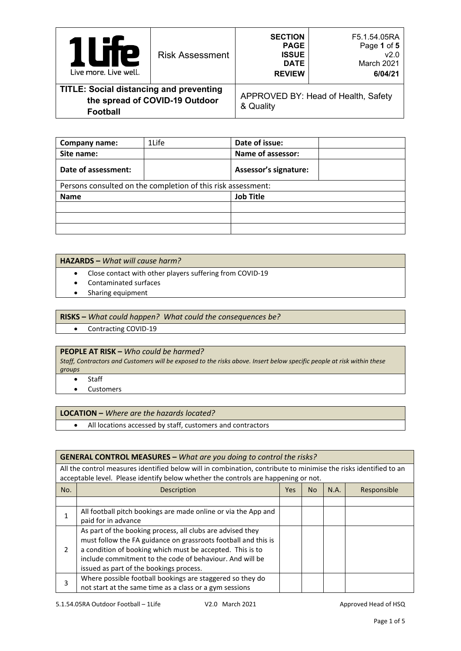|                                                                                                     | <b>Risk Assessment</b> | <b>SECTION</b><br><b>PAGE</b>                | F5.1.54.05RA<br>Page 1 of 5         |
|-----------------------------------------------------------------------------------------------------|------------------------|----------------------------------------------|-------------------------------------|
| Р<br>Live more, Live well.                                                                          |                        | <b>ISSUE</b><br><b>DATE</b><br><b>REVIEW</b> | v2.0<br>March 2021<br>6/04/21       |
| <b>TITLE: Social distancing and preventing</b><br>the spread of COVID-19 Outdoor<br><b>Football</b> |                        | & Quality                                    | APPROVED BY: Head of Health, Safety |

| Company name:                                                | 1Life | Date of issue:               |  |  |
|--------------------------------------------------------------|-------|------------------------------|--|--|
| Site name:                                                   |       | Name of assessor:            |  |  |
| Date of assessment:                                          |       | <b>Assessor's signature:</b> |  |  |
| Persons consulted on the completion of this risk assessment: |       |                              |  |  |
| <b>Name</b>                                                  |       | <b>Job Title</b>             |  |  |
|                                                              |       |                              |  |  |
|                                                              |       |                              |  |  |
|                                                              |       |                              |  |  |

#### **HAZARDS –** *What will cause harm?*

- Close contact with other players suffering from COVID-19
- Contaminated surfaces
- Sharing equipment

## **RISKS –** *What could happen? What could the consequences be?*

• Contracting COVID-19

### **PEOPLE AT RISK –** *Who could be harmed?*

*Staff, Contractors and Customers will be exposed to the risks above. Insert below specific people at risk within these groups*

- **Staff**
- Customers

#### **LOCATION –** *Where are the hazards located?*

• All locations accessed by staff, customers and contractors

## **GENERAL CONTROL MEASURES –** *What are you doing to control the risks?* All the control measures identified below will in combination, contribute to minimise the risks identified to an acceptable level. Please identify below whether the controls are happening or not. No. No.  $\vert$  No  $\vert$  N.A. Responsible 1 All football pitch bookings are made online or via the App and paid for in advance  $\overline{2}$ As part of the booking process, all clubs are advised they must follow the FA guidance on grassroots football and this is a condition of booking which must be accepted. This is to include commitment to the code of behaviour. And will be issued as part of the bookings process. 3 Where possible football bookings are staggered so they do not start at the same time as a class or a gym sessions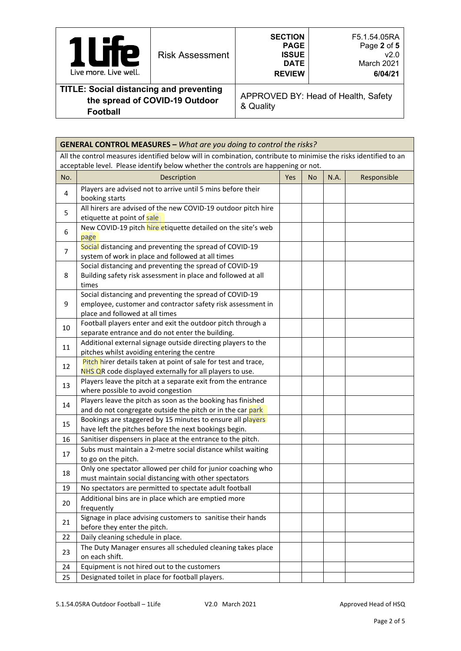| Live more. Live well.                          | <b>Risk Assessment</b> | <b>SECTION</b><br><b>PAGE</b><br><b>ISSUE</b><br><b>DATE</b><br><b>REVIEW</b> | F5.1.54.05RA<br>Page 2 of 5<br>v2.0<br>March 2021<br>6/04/21 |
|------------------------------------------------|------------------------|-------------------------------------------------------------------------------|--------------------------------------------------------------|
| <b>TITLE: Social distancing and preventing</b> |                        |                                                                               | ADDROVED RV: Hood of Hoolth Safoty                           |

## **the spread of COVID-19 Outdoor Football**

APPROVED BY: Head of Health, Safety & Quality

|                | <b>GENERAL CONTROL MEASURES - What are you doing to control the risks?</b>                                                                                                                             |     |    |      |             |
|----------------|--------------------------------------------------------------------------------------------------------------------------------------------------------------------------------------------------------|-----|----|------|-------------|
|                | All the control measures identified below will in combination, contribute to minimise the risks identified to an<br>acceptable level. Please identify below whether the controls are happening or not. |     |    |      |             |
| No.            | Description                                                                                                                                                                                            | Yes | No | N.A. | Responsible |
| 4              | Players are advised not to arrive until 5 mins before their<br>booking starts                                                                                                                          |     |    |      |             |
| 5              | All hirers are advised of the new COVID-19 outdoor pitch hire<br>etiquette at point of sale                                                                                                            |     |    |      |             |
| 6              | New COVID-19 pitch hire etiquette detailed on the site's web<br>page                                                                                                                                   |     |    |      |             |
| $\overline{7}$ | Social distancing and preventing the spread of COVID-19<br>system of work in place and followed at all times                                                                                           |     |    |      |             |
| 8              | Social distancing and preventing the spread of COVID-19<br>Building safety risk assessment in place and followed at all<br>times                                                                       |     |    |      |             |
| 9              | Social distancing and preventing the spread of COVID-19<br>employee, customer and contractor safety risk assessment in<br>place and followed at all times                                              |     |    |      |             |
| 10             | Football players enter and exit the outdoor pitch through a<br>separate entrance and do not enter the building.                                                                                        |     |    |      |             |
| 11             | Additional external signage outside directing players to the<br>pitches whilst avoiding entering the centre                                                                                            |     |    |      |             |
| 12             | Pitch hirer details taken at point of sale for test and trace,<br>NHS QR code displayed externally for all players to use.                                                                             |     |    |      |             |
| 13             | Players leave the pitch at a separate exit from the entrance<br>where possible to avoid congestion                                                                                                     |     |    |      |             |
| 14             | Players leave the pitch as soon as the booking has finished<br>and do not congregate outside the pitch or in the car park                                                                              |     |    |      |             |
| 15             | Bookings are staggered by 15 minutes to ensure all players<br>have left the pitches before the next bookings begin.                                                                                    |     |    |      |             |
| 16             | Sanitiser dispensers in place at the entrance to the pitch.                                                                                                                                            |     |    |      |             |
| 17             | Subs must maintain a 2-metre social distance whilst waiting<br>to go on the pitch.                                                                                                                     |     |    |      |             |
| 18             | Only one spectator allowed per child for junior coaching who<br>must maintain social distancing with other spectators                                                                                  |     |    |      |             |
| 19             | No spectators are permitted to spectate adult football                                                                                                                                                 |     |    |      |             |
| 20             | Additional bins are in place which are emptied more<br>frequently                                                                                                                                      |     |    |      |             |
| 21             | Signage in place advising customers to sanitise their hands<br>before they enter the pitch.                                                                                                            |     |    |      |             |
| 22             | Daily cleaning schedule in place.                                                                                                                                                                      |     |    |      |             |
| 23             | The Duty Manager ensures all scheduled cleaning takes place<br>on each shift.                                                                                                                          |     |    |      |             |
| 24             | Equipment is not hired out to the customers                                                                                                                                                            |     |    |      |             |
| 25             | Designated toilet in place for football players.                                                                                                                                                       |     |    |      |             |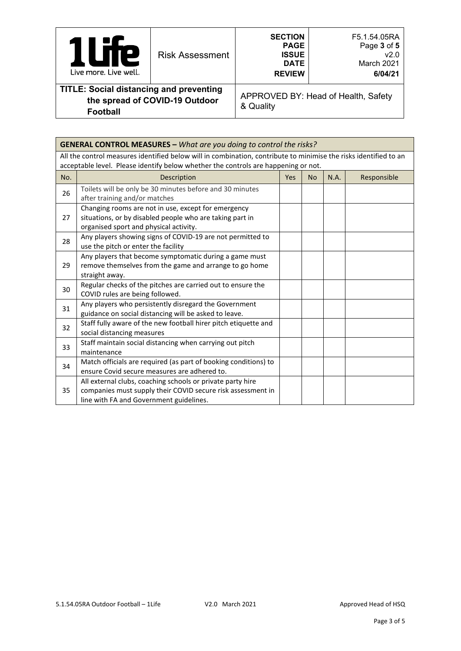| <b>P</b><br>Live more. Live well.                                                | <b>Risk Assessment</b> | <b>SECTION</b><br><b>PAGE</b><br><b>ISSUE</b><br><b>DATE</b><br><b>REVIEW</b> | F5.1.54.05RA<br>Page 3 of 5<br>v2.0<br>March 2021<br>6/04/21 |
|----------------------------------------------------------------------------------|------------------------|-------------------------------------------------------------------------------|--------------------------------------------------------------|
| <b>TITLE: Social distancing and preventing</b><br>the enread of COVID 10 Outdoor |                        |                                                                               | APPROVED BY: Head of Health, Safety                          |

# **the spread of COVID-19 Outdoor**

**Football** 

APPROVED BY: Head of Health, Safety & Quality

| <b>GENERAL CONTROL MEASURES - What are you doing to control the risks?</b> |                                                                                                                                                                      |     |           |      |             |
|----------------------------------------------------------------------------|----------------------------------------------------------------------------------------------------------------------------------------------------------------------|-----|-----------|------|-------------|
|                                                                            | All the control measures identified below will in combination, contribute to minimise the risks identified to an                                                     |     |           |      |             |
|                                                                            | acceptable level. Please identify below whether the controls are happening or not.                                                                                   |     |           |      |             |
| No.                                                                        | Description                                                                                                                                                          | Yes | <b>No</b> | N.A. | Responsible |
| 26                                                                         | Toilets will be only be 30 minutes before and 30 minutes<br>after training and/or matches                                                                            |     |           |      |             |
| 27                                                                         | Changing rooms are not in use, except for emergency<br>situations, or by disabled people who are taking part in<br>organised sport and physical activity.            |     |           |      |             |
| 28                                                                         | Any players showing signs of COVID-19 are not permitted to<br>use the pitch or enter the facility                                                                    |     |           |      |             |
| 29                                                                         | Any players that become symptomatic during a game must<br>remove themselves from the game and arrange to go home<br>straight away.                                   |     |           |      |             |
| 30                                                                         | Regular checks of the pitches are carried out to ensure the<br>COVID rules are being followed.                                                                       |     |           |      |             |
| 31                                                                         | Any players who persistently disregard the Government<br>guidance on social distancing will be asked to leave.                                                       |     |           |      |             |
| 32                                                                         | Staff fully aware of the new football hirer pitch etiquette and<br>social distancing measures                                                                        |     |           |      |             |
| 33                                                                         | Staff maintain social distancing when carrying out pitch<br>maintenance                                                                                              |     |           |      |             |
| 34                                                                         | Match officials are required (as part of booking conditions) to<br>ensure Covid secure measures are adhered to.                                                      |     |           |      |             |
| 35                                                                         | All external clubs, coaching schools or private party hire<br>companies must supply their COVID secure risk assessment in<br>line with FA and Government guidelines. |     |           |      |             |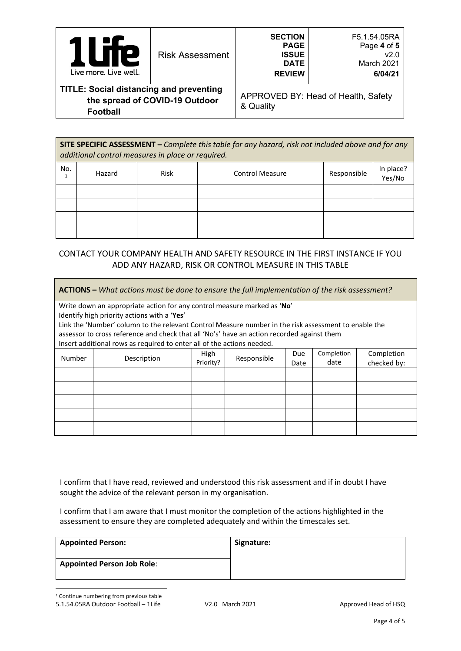| <b>IP</b><br>I<br>$\mathbf{L}$<br>Live more. Live well.                                             | <b>Risk Assessment</b> | <b>SECTION</b><br><b>PAGE</b><br><b>ISSUE</b><br><b>DATE</b><br><b>REVIEW</b> | F5.1.54.05RA<br>Page 4 of 5<br>v2.0<br>March 2021<br>6/04/21 |
|-----------------------------------------------------------------------------------------------------|------------------------|-------------------------------------------------------------------------------|--------------------------------------------------------------|
| <b>TITLE: Social distancing and preventing</b><br>the spread of COVID-19 Outdoor<br><b>Football</b> |                        | & Quality                                                                     | APPROVED BY: Head of Health, Safety                          |

| SITE SPECIFIC ASSESSMENT - Complete this table for any hazard, risk not included above and for any<br>additional control measures in place or required. |        |             |                        |             |                     |  |  |
|---------------------------------------------------------------------------------------------------------------------------------------------------------|--------|-------------|------------------------|-------------|---------------------|--|--|
| No.                                                                                                                                                     | Hazard | <b>Risk</b> | <b>Control Measure</b> | Responsible | In place?<br>Yes/No |  |  |
|                                                                                                                                                         |        |             |                        |             |                     |  |  |
|                                                                                                                                                         |        |             |                        |             |                     |  |  |
|                                                                                                                                                         |        |             |                        |             |                     |  |  |
|                                                                                                                                                         |        |             |                        |             |                     |  |  |

## CONTACT YOUR COMPANY HEALTH AND SAFETY RESOURCE IN THE FIRST INSTANCE IF YOU ADD ANY HAZARD, RISK OR CONTROL MEASURE IN THIS TABLE

| ACTIONS - What actions must be done to ensure the full implementation of the risk assessment? |                                                                                                                                                                                                    |             |             |             |            |            |
|-----------------------------------------------------------------------------------------------|----------------------------------------------------------------------------------------------------------------------------------------------------------------------------------------------------|-------------|-------------|-------------|------------|------------|
|                                                                                               | Write down an appropriate action for any control measure marked as 'No'                                                                                                                            |             |             |             |            |            |
|                                                                                               | Identify high priority actions with a 'Yes'                                                                                                                                                        |             |             |             |            |            |
|                                                                                               | Link the 'Number' column to the relevant Control Measure number in the risk assessment to enable the<br>assessor to cross reference and check that all 'No's' have an action recorded against them |             |             |             |            |            |
|                                                                                               | Insert additional rows as required to enter all of the actions needed.                                                                                                                             |             |             |             |            |            |
| Number                                                                                        | Description                                                                                                                                                                                        | <b>High</b> | Responsible | Due         | Completion | Completion |
|                                                                                               | Priority?                                                                                                                                                                                          | Date        | date        | checked by: |            |            |
|                                                                                               |                                                                                                                                                                                                    |             |             |             |            |            |
|                                                                                               |                                                                                                                                                                                                    |             |             |             |            |            |
|                                                                                               |                                                                                                                                                                                                    |             |             |             |            |            |
|                                                                                               |                                                                                                                                                                                                    |             |             |             |            |            |
|                                                                                               |                                                                                                                                                                                                    |             |             |             |            |            |

I confirm that I have read, reviewed and understood this risk assessment and if in doubt I have sought the advice of the relevant person in my organisation.

I confirm that I am aware that I must monitor the completion of the actions highlighted in the assessment to ensure they are completed adequately and within the timescales set.

| <b>Appointed Person:</b>          | Signature: |
|-----------------------------------|------------|
| <b>Appointed Person Job Role:</b> |            |

<span id="page-3-0"></span><sup>1</sup> Continue numbering from previous table